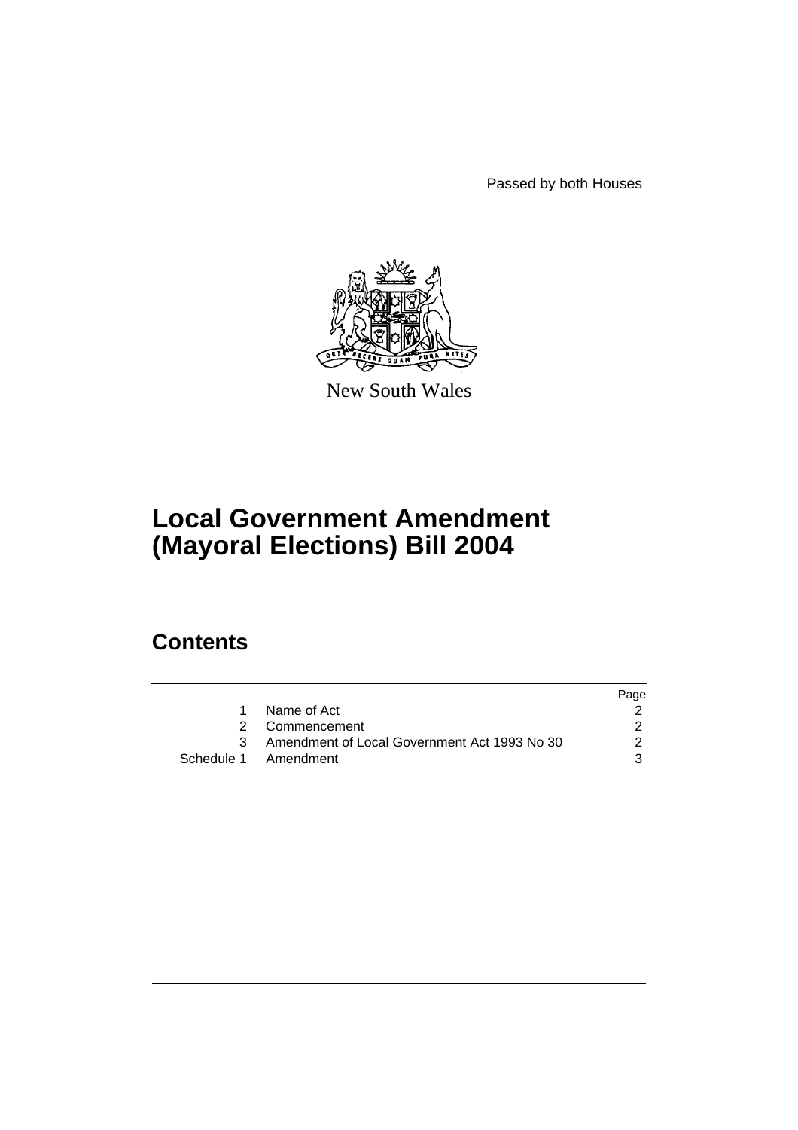Passed by both Houses



New South Wales

# **Local Government Amendment (Mayoral Elections) Bill 2004**

# **Contents**

|                                                | Page |
|------------------------------------------------|------|
| Name of Act                                    |      |
| 2 Commencement                                 |      |
| 3 Amendment of Local Government Act 1993 No 30 | 2    |
| Schedule 1 Amendment                           | 3    |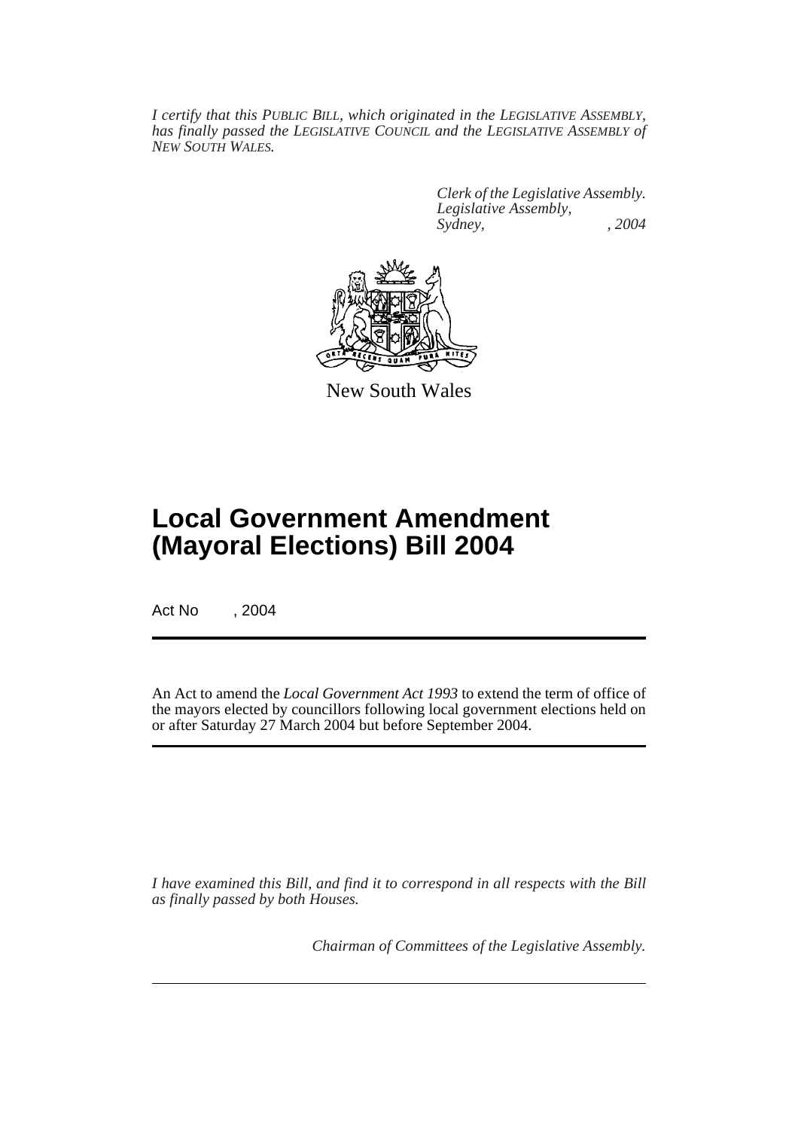*I certify that this PUBLIC BILL, which originated in the LEGISLATIVE ASSEMBLY, has finally passed the LEGISLATIVE COUNCIL and the LEGISLATIVE ASSEMBLY of NEW SOUTH WALES.*

> *Clerk of the Legislative Assembly. Legislative Assembly, Sydney, , 2004*



New South Wales

# **Local Government Amendment (Mayoral Elections) Bill 2004**

Act No , 2004

An Act to amend the *Local Government Act 1993* to extend the term of office of the mayors elected by councillors following local government elections held on or after Saturday 27 March 2004 but before September 2004.

*I have examined this Bill, and find it to correspond in all respects with the Bill as finally passed by both Houses.*

*Chairman of Committees of the Legislative Assembly.*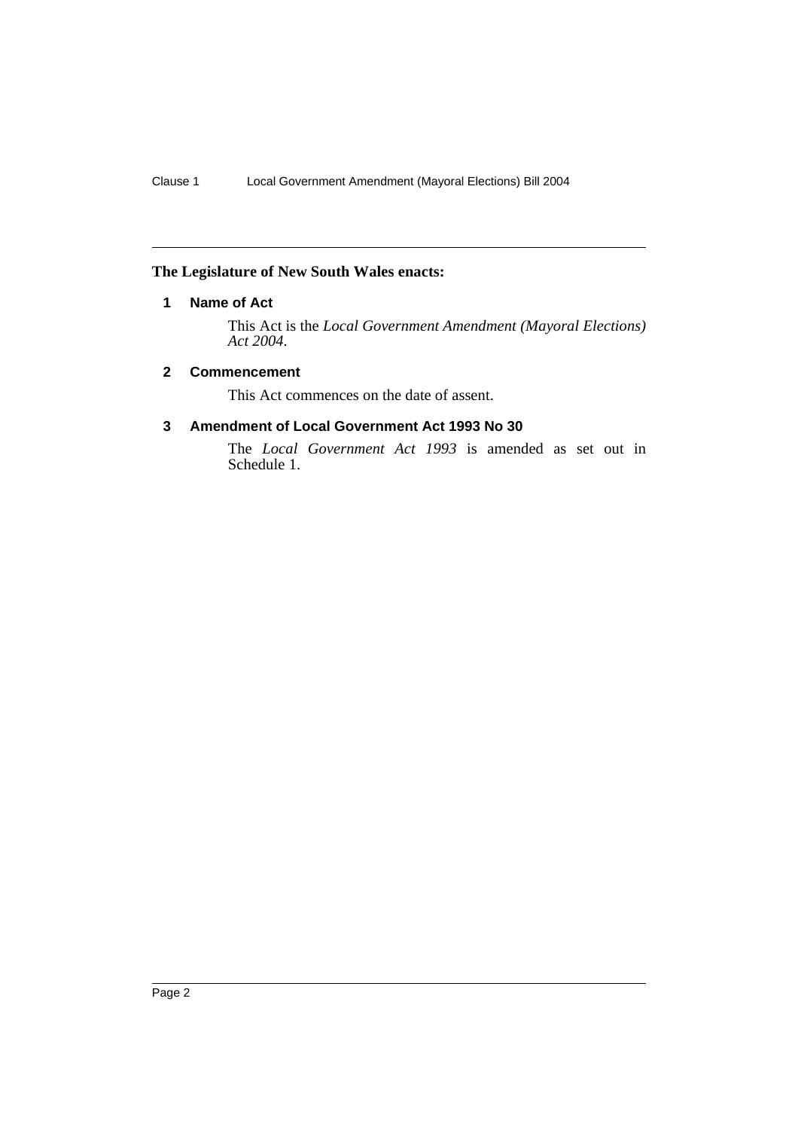### **The Legislature of New South Wales enacts:**

### **1 Name of Act**

This Act is the *Local Government Amendment (Mayoral Elections) Act 2004*.

#### **2 Commencement**

This Act commences on the date of assent.

### **3 Amendment of Local Government Act 1993 No 30**

The *Local Government Act 1993* is amended as set out in Schedule 1.